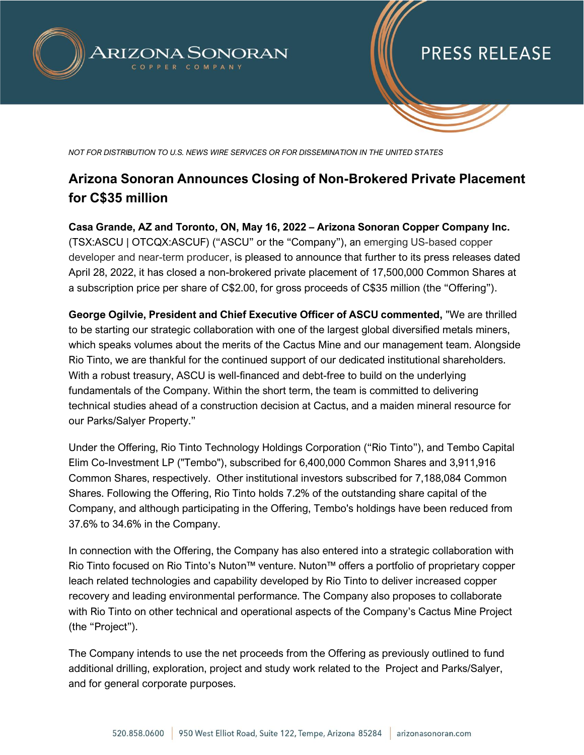

# **PRESS RELEASE**

*NOT FOR DISTRIBUTION TO U.S. NEWS WIRE SERVICES OR FOR DISSEMINATION IN THE UNITED STATES*

### **Arizona Sonoran Announces Closing of Non-Brokered Private Placement for C\$35 million**

**Casa Grande, AZ and Toronto, ON, May 16, 2022 – Arizona Sonoran Copper Company Inc.** (TSX:ASCU | OTCQX:ASCUF) ("ASCU" or the "Company"), an emerging US-based copper developer and near-term producer, is pleased to announce that further to its press releases dated April 28, 2022, it has closed a non-brokered private placement of 17,500,000 Common Shares at a subscription price per share of C\$2.00, for gross proceeds of C\$35 million (the "Offering").

**George Ogilvie, President and Chief Executive Officer of ASCU commented,** "We are thrilled to be starting our strategic collaboration with one of the largest global diversified metals miners, which speaks volumes about the merits of the Cactus Mine and our management team. Alongside Rio Tinto, we are thankful for the continued support of our dedicated institutional shareholders. With a robust treasury, ASCU is well-financed and debt-free to build on the underlying fundamentals of the Company. Within the short term, the team is committed to delivering technical studies ahead of a construction decision at Cactus, and a maiden mineral resource for our Parks/Salyer Property."

Under the Offering, Rio Tinto Technology Holdings Corporation ("Rio Tinto"), and Tembo Capital Elim Co-Investment LP ("Tembo"), subscribed for 6,400,000 Common Shares and 3,911,916 Common Shares, respectively. Other institutional investors subscribed for 7,188,084 Common Shares. Following the Offering, Rio Tinto holds 7.2% of the outstanding share capital of the Company, and although participating in the Offering, Tembo's holdings have been reduced from 37.6% to 34.6% in the Company.

In connection with the Offering, the Company has also entered into a strategic collaboration with Rio Tinto focused on Rio Tinto's Nuton™ venture. Nuton™ offers a portfolio of proprietary copper leach related technologies and capability developed by Rio Tinto to deliver increased copper recovery and leading environmental performance. The Company also proposes to collaborate with Rio Tinto on other technical and operational aspects of the Company's Cactus Mine Project (the "Project").

The Company intends to use the net proceeds from the Offering as previously outlined to fund additional drilling, exploration, project and study work related to the Project and Parks/Salyer, and for general corporate purposes.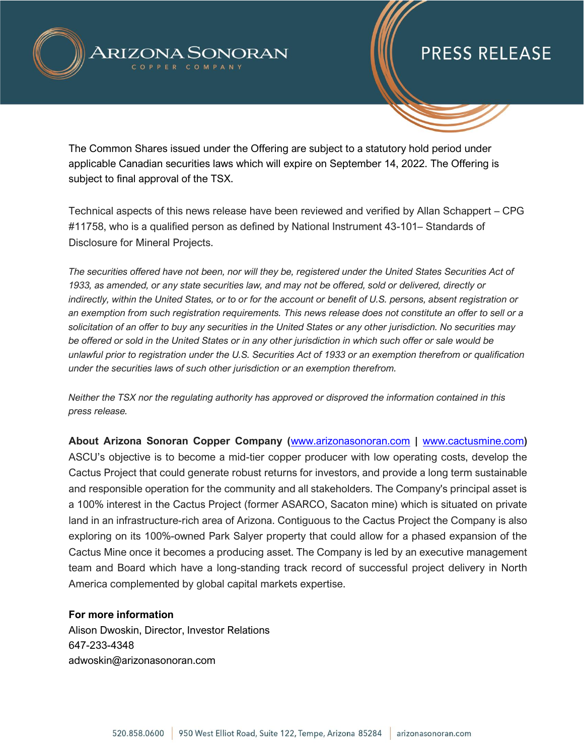

## **PRESS RELEASE**

The Common Shares issued under the Offering are subject to a statutory hold period under applicable Canadian securities laws which will expire on September 14, 2022. The Offering is subject to final approval of the TSX.

Technical aspects of this news release have been reviewed and verified by Allan Schappert – CPG #11758, who is a qualified person as defined by National Instrument 43-101– Standards of Disclosure for Mineral Projects.

*The securities offered have not been, nor will they be, registered under the United States Securities Act of 1933, as amended, or any state securities law, and may not be offered, sold or delivered, directly or indirectly, within the United States, or to or for the account or benefit of U.S. persons, absent registration or an exemption from such registration requirements. This news release does not constitute an offer to sell or a solicitation of an offer to buy any securities in the United States or any other jurisdiction. No securities may be offered or sold in the United States or in any other jurisdiction in which such offer or sale would be unlawful prior to registration under the U.S. Securities Act of 1933 or an exemption therefrom or qualification under the securities laws of such other jurisdiction or an exemption therefrom.*

*Neither the TSX nor the regulating authority has approved or disproved the information contained in this press release.* 

**About Arizona Sonoran Copper Company (**[www.arizonasonoran.com](http://www.arizonasonoran.com/) **|** [www.cactusmine.com](http://www.cactusmine.com/)**)** ASCU's objective is to become a mid-tier copper producer with low operating costs, develop the Cactus Project that could generate robust returns for investors, and provide a long term sustainable and responsible operation for the community and all stakeholders. The Company's principal asset is a 100% interest in the Cactus Project (former ASARCO, Sacaton mine) which is situated on private land in an infrastructure-rich area of Arizona. Contiguous to the Cactus Project the Company is also exploring on its 100%-owned Park Salyer property that could allow for a phased expansion of the Cactus Mine once it becomes a producing asset. The Company is led by an executive management team and Board which have a long-standing track record of successful project delivery in North America complemented by global capital markets expertise.

#### **For more information**

Alison Dwoskin, Director, Investor Relations 647-233-4348 adwoskin@arizonasonoran.com